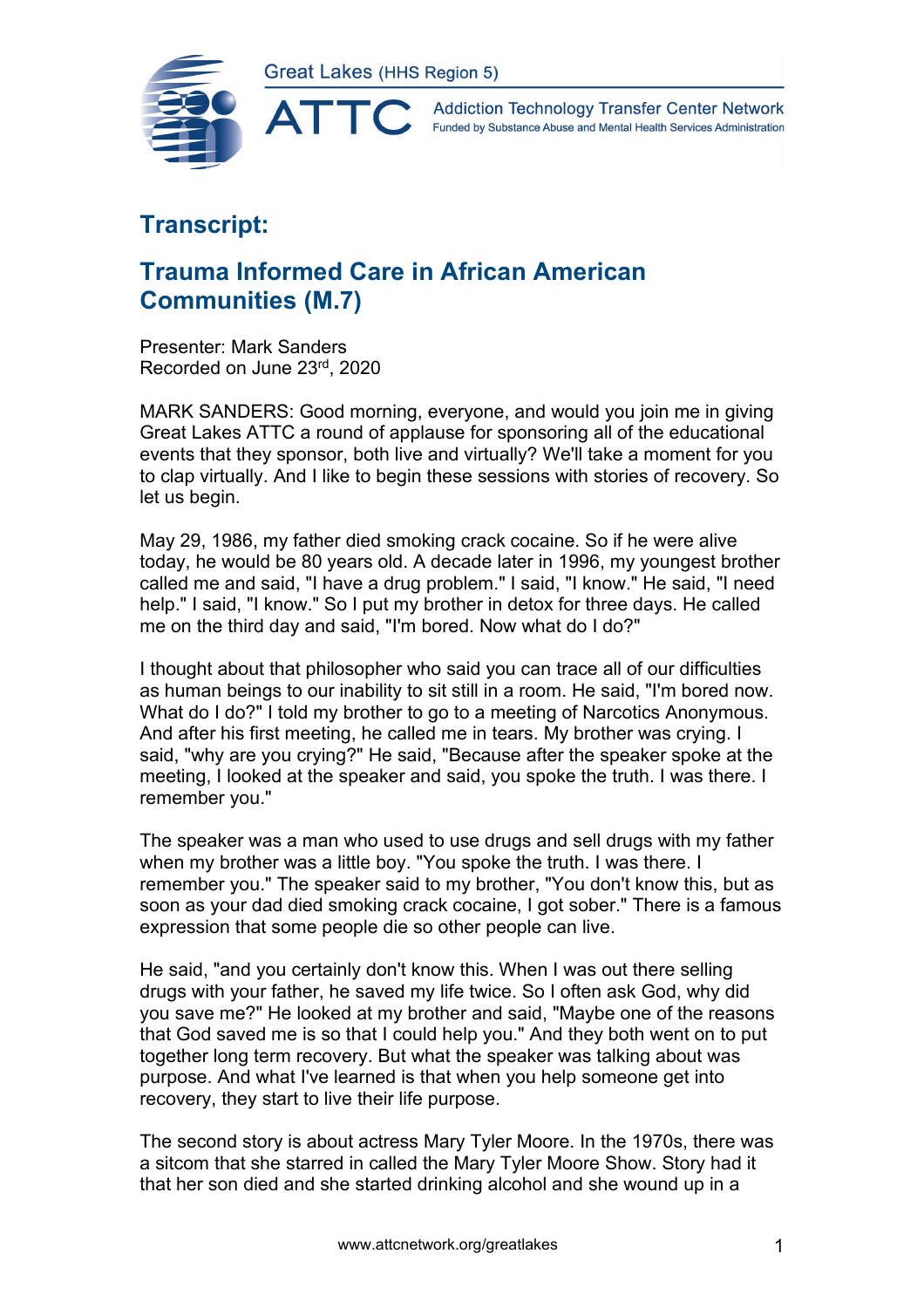

**Addiction Technology Transfer Center Network** Funded by Substance Abuse and Mental Health Services Administration

## **Transcript:**

## **Trauma Informed Care in African American Communities (M.7)**

Presenter: Mark Sanders Recorded on June 23rd, 2020

MARK SANDERS: Good morning, everyone, and would you join me in giving Great Lakes ATTC a round of applause for sponsoring all of the educational events that they sponsor, both live and virtually? We'll take a moment for you to clap virtually. And I like to begin these sessions with stories of recovery. So let us begin.

May 29, 1986, my father died smoking crack cocaine. So if he were alive today, he would be 80 years old. A decade later in 1996, my youngest brother called me and said, "I have a drug problem." I said, "I know." He said, "I need help." I said, "I know." So I put my brother in detox for three days. He called me on the third day and said, "I'm bored. Now what do I do?"

I thought about that philosopher who said you can trace all of our difficulties as human beings to our inability to sit still in a room. He said, "I'm bored now. What do I do?" I told my brother to go to a meeting of Narcotics Anonymous. And after his first meeting, he called me in tears. My brother was crying. I said, "why are you crying?" He said, "Because after the speaker spoke at the meeting, I looked at the speaker and said, you spoke the truth. I was there. I remember you."

The speaker was a man who used to use drugs and sell drugs with my father when my brother was a little boy. "You spoke the truth. I was there. I remember you." The speaker said to my brother, "You don't know this, but as soon as your dad died smoking crack cocaine, I got sober." There is a famous expression that some people die so other people can live.

He said, "and you certainly don't know this. When I was out there selling drugs with your father, he saved my life twice. So I often ask God, why did you save me?" He looked at my brother and said, "Maybe one of the reasons that God saved me is so that I could help you." And they both went on to put together long term recovery. But what the speaker was talking about was purpose. And what I've learned is that when you help someone get into recovery, they start to live their life purpose.

The second story is about actress Mary Tyler Moore. In the 1970s, there was a sitcom that she starred in called the Mary Tyler Moore Show. Story had it that her son died and she started drinking alcohol and she wound up in a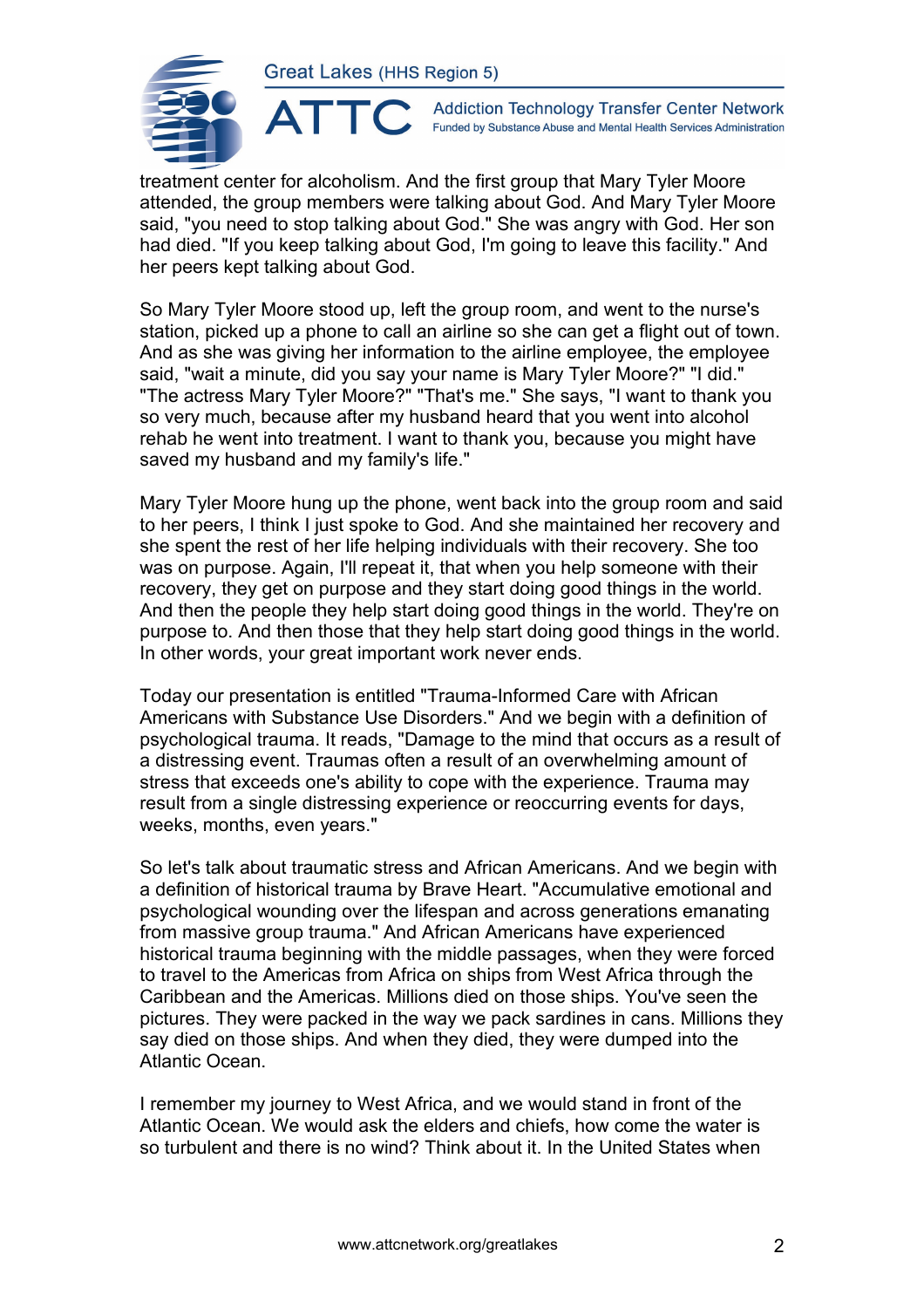ATTO



**Addiction Technology Transfer Center Network** Funded by Substance Abuse and Mental Health Services Administration

treatment center for alcoholism. And the first group that Mary Tyler Moore attended, the group members were talking about God. And Mary Tyler Moore said, "you need to stop talking about God." She was angry with God. Her son had died. "If you keep talking about God, I'm going to leave this facility." And her peers kept talking about God.

So Mary Tyler Moore stood up, left the group room, and went to the nurse's station, picked up a phone to call an airline so she can get a flight out of town. And as she was giving her information to the airline employee, the employee said, "wait a minute, did you say your name is Mary Tyler Moore?" "I did." "The actress Mary Tyler Moore?" "That's me." She says, "I want to thank you so very much, because after my husband heard that you went into alcohol rehab he went into treatment. I want to thank you, because you might have saved my husband and my family's life."

Mary Tyler Moore hung up the phone, went back into the group room and said to her peers, I think I just spoke to God. And she maintained her recovery and she spent the rest of her life helping individuals with their recovery. She too was on purpose. Again, I'll repeat it, that when you help someone with their recovery, they get on purpose and they start doing good things in the world. And then the people they help start doing good things in the world. They're on purpose to. And then those that they help start doing good things in the world. In other words, your great important work never ends.

Today our presentation is entitled "Trauma-Informed Care with African Americans with Substance Use Disorders." And we begin with a definition of psychological trauma. It reads, "Damage to the mind that occurs as a result of a distressing event. Traumas often a result of an overwhelming amount of stress that exceeds one's ability to cope with the experience. Trauma may result from a single distressing experience or reoccurring events for days, weeks, months, even years."

So let's talk about traumatic stress and African Americans. And we begin with a definition of historical trauma by Brave Heart. "Accumulative emotional and psychological wounding over the lifespan and across generations emanating from massive group trauma." And African Americans have experienced historical trauma beginning with the middle passages, when they were forced to travel to the Americas from Africa on ships from West Africa through the Caribbean and the Americas. Millions died on those ships. You've seen the pictures. They were packed in the way we pack sardines in cans. Millions they say died on those ships. And when they died, they were dumped into the Atlantic Ocean.

I remember my journey to West Africa, and we would stand in front of the Atlantic Ocean. We would ask the elders and chiefs, how come the water is so turbulent and there is no wind? Think about it. In the United States when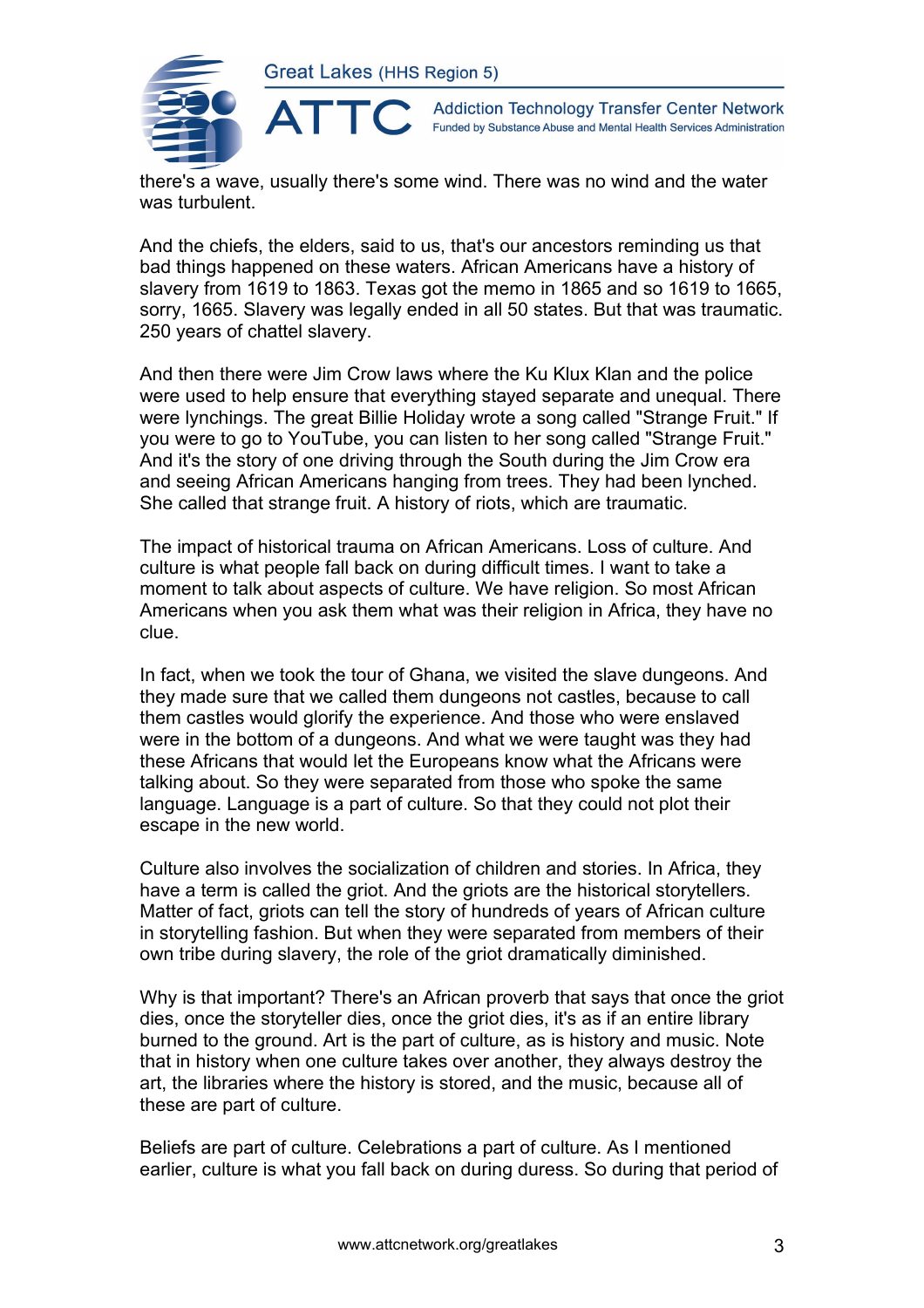

**Addiction Technology Transfer Center Network** Funded by Substance Abuse and Mental Health Services Administration

there's a wave, usually there's some wind. There was no wind and the water was turbulent.

And the chiefs, the elders, said to us, that's our ancestors reminding us that bad things happened on these waters. African Americans have a history of slavery from 1619 to 1863. Texas got the memo in 1865 and so 1619 to 1665, sorry, 1665. Slavery was legally ended in all 50 states. But that was traumatic. 250 years of chattel slavery.

And then there were Jim Crow laws where the Ku Klux Klan and the police were used to help ensure that everything stayed separate and unequal. There were lynchings. The great Billie Holiday wrote a song called "Strange Fruit." If you were to go to YouTube, you can listen to her song called "Strange Fruit." And it's the story of one driving through the South during the Jim Crow era and seeing African Americans hanging from trees. They had been lynched. She called that strange fruit. A history of riots, which are traumatic.

The impact of historical trauma on African Americans. Loss of culture. And culture is what people fall back on during difficult times. I want to take a moment to talk about aspects of culture. We have religion. So most African Americans when you ask them what was their religion in Africa, they have no clue.

In fact, when we took the tour of Ghana, we visited the slave dungeons. And they made sure that we called them dungeons not castles, because to call them castles would glorify the experience. And those who were enslaved were in the bottom of a dungeons. And what we were taught was they had these Africans that would let the Europeans know what the Africans were talking about. So they were separated from those who spoke the same language. Language is a part of culture. So that they could not plot their escape in the new world.

Culture also involves the socialization of children and stories. In Africa, they have a term is called the griot. And the griots are the historical storytellers. Matter of fact, griots can tell the story of hundreds of years of African culture in storytelling fashion. But when they were separated from members of their own tribe during slavery, the role of the griot dramatically diminished.

Why is that important? There's an African proverb that says that once the griot dies, once the storyteller dies, once the griot dies, it's as if an entire library burned to the ground. Art is the part of culture, as is history and music. Note that in history when one culture takes over another, they always destroy the art, the libraries where the history is stored, and the music, because all of these are part of culture.

Beliefs are part of culture. Celebrations a part of culture. As I mentioned earlier, culture is what you fall back on during duress. So during that period of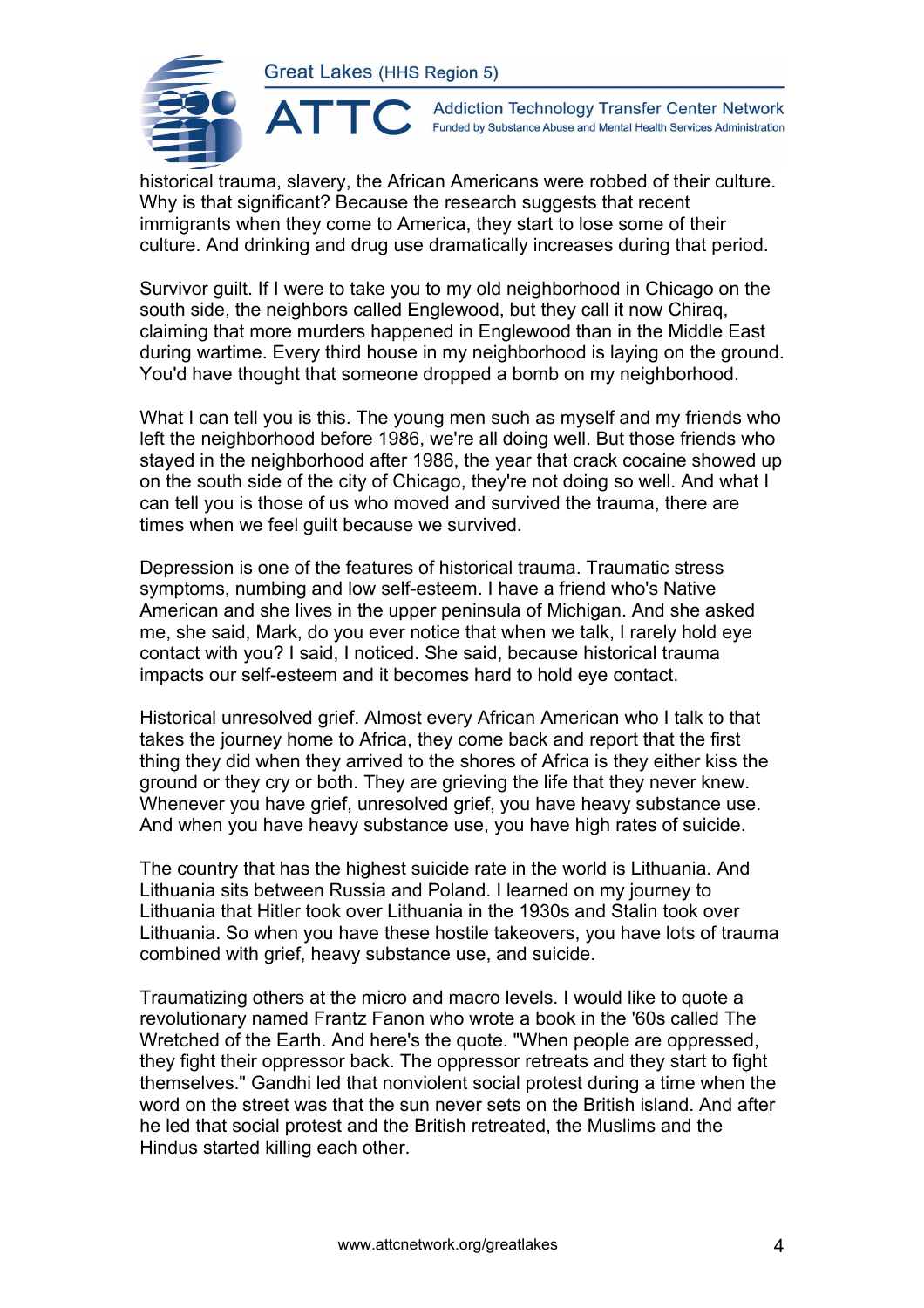ATTC



**Addiction Technology Transfer Center Network** Funded by Substance Abuse and Mental Health Services Administration

historical trauma, slavery, the African Americans were robbed of their culture. Why is that significant? Because the research suggests that recent immigrants when they come to America, they start to lose some of their culture. And drinking and drug use dramatically increases during that period.

Survivor guilt. If I were to take you to my old neighborhood in Chicago on the south side, the neighbors called Englewood, but they call it now Chiraq, claiming that more murders happened in Englewood than in the Middle East during wartime. Every third house in my neighborhood is laying on the ground. You'd have thought that someone dropped a bomb on my neighborhood.

What I can tell you is this. The young men such as myself and my friends who left the neighborhood before 1986, we're all doing well. But those friends who stayed in the neighborhood after 1986, the year that crack cocaine showed up on the south side of the city of Chicago, they're not doing so well. And what I can tell you is those of us who moved and survived the trauma, there are times when we feel guilt because we survived.

Depression is one of the features of historical trauma. Traumatic stress symptoms, numbing and low self-esteem. I have a friend who's Native American and she lives in the upper peninsula of Michigan. And she asked me, she said, Mark, do you ever notice that when we talk, I rarely hold eye contact with you? I said, I noticed. She said, because historical trauma impacts our self-esteem and it becomes hard to hold eye contact.

Historical unresolved grief. Almost every African American who I talk to that takes the journey home to Africa, they come back and report that the first thing they did when they arrived to the shores of Africa is they either kiss the ground or they cry or both. They are grieving the life that they never knew. Whenever you have grief, unresolved grief, you have heavy substance use. And when you have heavy substance use, you have high rates of suicide.

The country that has the highest suicide rate in the world is Lithuania. And Lithuania sits between Russia and Poland. I learned on my journey to Lithuania that Hitler took over Lithuania in the 1930s and Stalin took over Lithuania. So when you have these hostile takeovers, you have lots of trauma combined with grief, heavy substance use, and suicide.

Traumatizing others at the micro and macro levels. I would like to quote a revolutionary named Frantz Fanon who wrote a book in the '60s called The Wretched of the Earth. And here's the quote. "When people are oppressed, they fight their oppressor back. The oppressor retreats and they start to fight themselves." Gandhi led that nonviolent social protest during a time when the word on the street was that the sun never sets on the British island. And after he led that social protest and the British retreated, the Muslims and the Hindus started killing each other.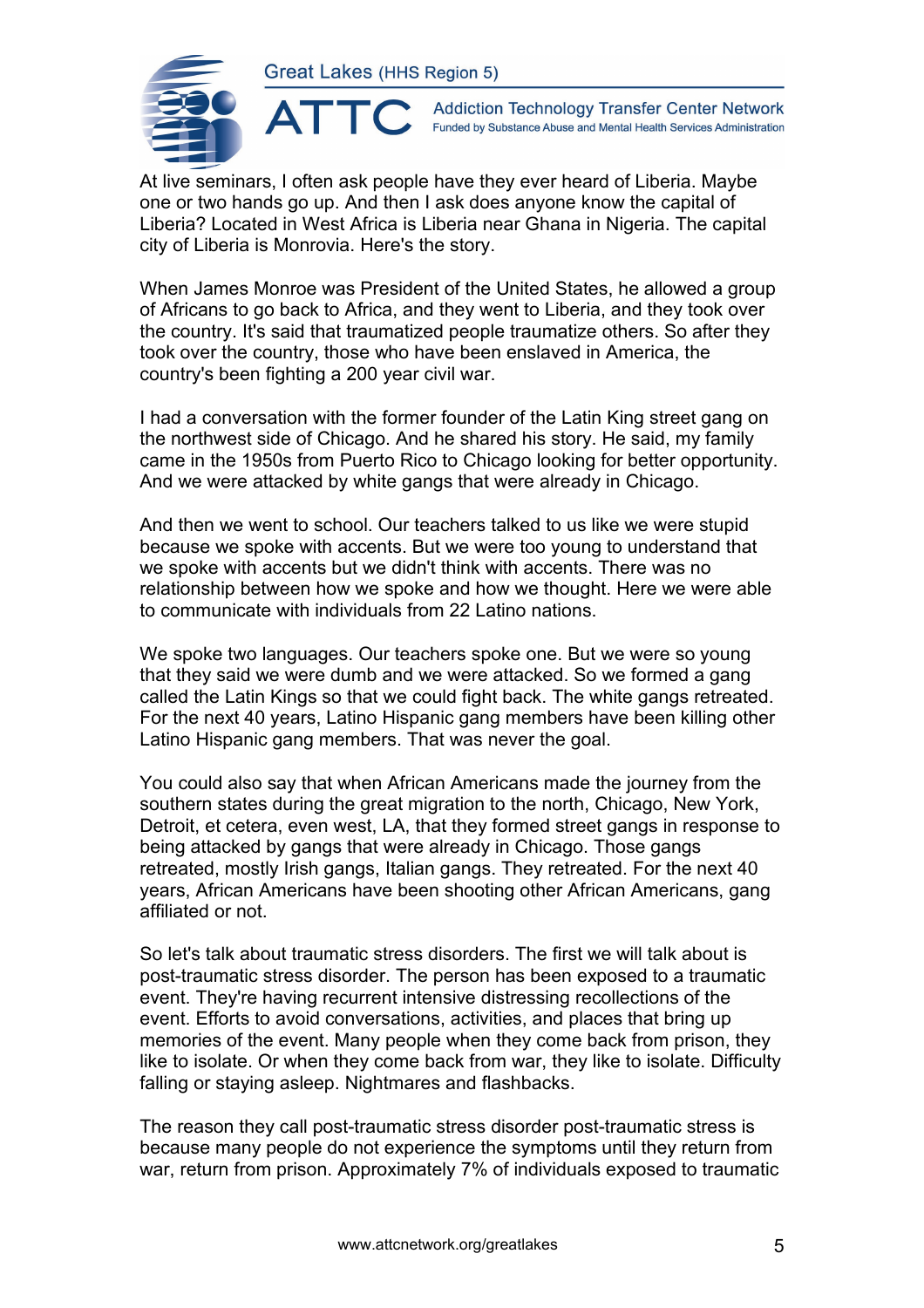

**Addiction Technology Transfer Center Network** Funded by Substance Abuse and Mental Health Services Administration

At live seminars, I often ask people have they ever heard of Liberia. Maybe one or two hands go up. And then I ask does anyone know the capital of Liberia? Located in West Africa is Liberia near Ghana in Nigeria. The capital city of Liberia is Monrovia. Here's the story.

When James Monroe was President of the United States, he allowed a group of Africans to go back to Africa, and they went to Liberia, and they took over the country. It's said that traumatized people traumatize others. So after they took over the country, those who have been enslaved in America, the country's been fighting a 200 year civil war.

I had a conversation with the former founder of the Latin King street gang on the northwest side of Chicago. And he shared his story. He said, my family came in the 1950s from Puerto Rico to Chicago looking for better opportunity. And we were attacked by white gangs that were already in Chicago.

And then we went to school. Our teachers talked to us like we were stupid because we spoke with accents. But we were too young to understand that we spoke with accents but we didn't think with accents. There was no relationship between how we spoke and how we thought. Here we were able to communicate with individuals from 22 Latino nations.

We spoke two languages. Our teachers spoke one. But we were so young that they said we were dumb and we were attacked. So we formed a gang called the Latin Kings so that we could fight back. The white gangs retreated. For the next 40 years, Latino Hispanic gang members have been killing other Latino Hispanic gang members. That was never the goal.

You could also say that when African Americans made the journey from the southern states during the great migration to the north, Chicago, New York, Detroit, et cetera, even west, LA, that they formed street gangs in response to being attacked by gangs that were already in Chicago. Those gangs retreated, mostly Irish gangs, Italian gangs. They retreated. For the next 40 years, African Americans have been shooting other African Americans, gang affiliated or not.

So let's talk about traumatic stress disorders. The first we will talk about is post-traumatic stress disorder. The person has been exposed to a traumatic event. They're having recurrent intensive distressing recollections of the event. Efforts to avoid conversations, activities, and places that bring up memories of the event. Many people when they come back from prison, they like to isolate. Or when they come back from war, they like to isolate. Difficulty falling or staying asleep. Nightmares and flashbacks.

The reason they call post-traumatic stress disorder post-traumatic stress is because many people do not experience the symptoms until they return from war, return from prison. Approximately 7% of individuals exposed to traumatic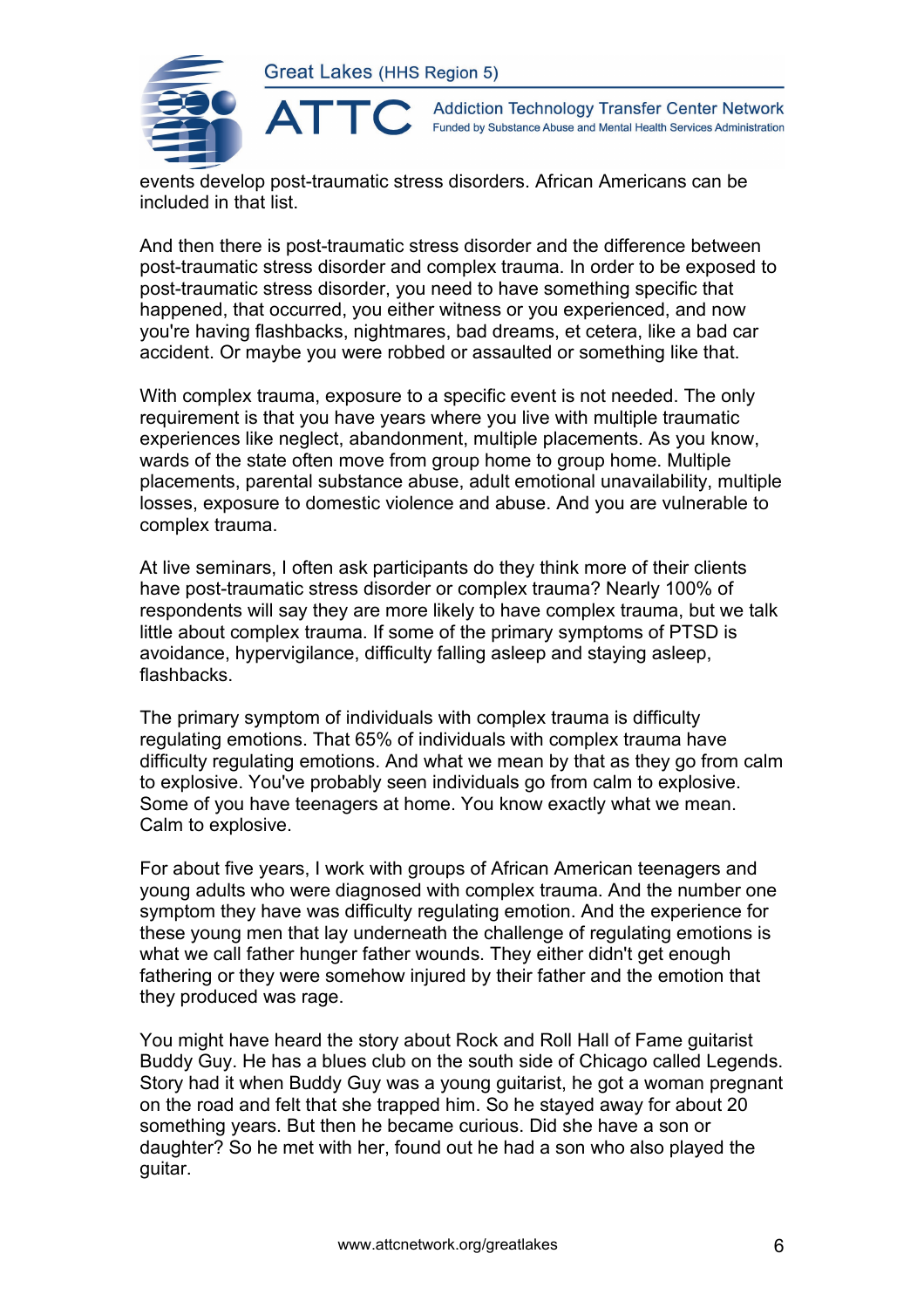

**Addiction Technology Transfer Center Network** Funded by Substance Abuse and Mental Health Services Administration

events develop post-traumatic stress disorders. African Americans can be included in that list.

And then there is post-traumatic stress disorder and the difference between post-traumatic stress disorder and complex trauma. In order to be exposed to post-traumatic stress disorder, you need to have something specific that happened, that occurred, you either witness or you experienced, and now you're having flashbacks, nightmares, bad dreams, et cetera, like a bad car accident. Or maybe you were robbed or assaulted or something like that.

With complex trauma, exposure to a specific event is not needed. The only requirement is that you have years where you live with multiple traumatic experiences like neglect, abandonment, multiple placements. As you know, wards of the state often move from group home to group home. Multiple placements, parental substance abuse, adult emotional unavailability, multiple losses, exposure to domestic violence and abuse. And you are vulnerable to complex trauma.

At live seminars, I often ask participants do they think more of their clients have post-traumatic stress disorder or complex trauma? Nearly 100% of respondents will say they are more likely to have complex trauma, but we talk little about complex trauma. If some of the primary symptoms of PTSD is avoidance, hypervigilance, difficulty falling asleep and staying asleep, flashbacks.

The primary symptom of individuals with complex trauma is difficulty regulating emotions. That 65% of individuals with complex trauma have difficulty regulating emotions. And what we mean by that as they go from calm to explosive. You've probably seen individuals go from calm to explosive. Some of you have teenagers at home. You know exactly what we mean. Calm to explosive.

For about five years, I work with groups of African American teenagers and young adults who were diagnosed with complex trauma. And the number one symptom they have was difficulty regulating emotion. And the experience for these young men that lay underneath the challenge of regulating emotions is what we call father hunger father wounds. They either didn't get enough fathering or they were somehow injured by their father and the emotion that they produced was rage.

You might have heard the story about Rock and Roll Hall of Fame guitarist Buddy Guy. He has a blues club on the south side of Chicago called Legends. Story had it when Buddy Guy was a young guitarist, he got a woman pregnant on the road and felt that she trapped him. So he stayed away for about 20 something years. But then he became curious. Did she have a son or daughter? So he met with her, found out he had a son who also played the guitar.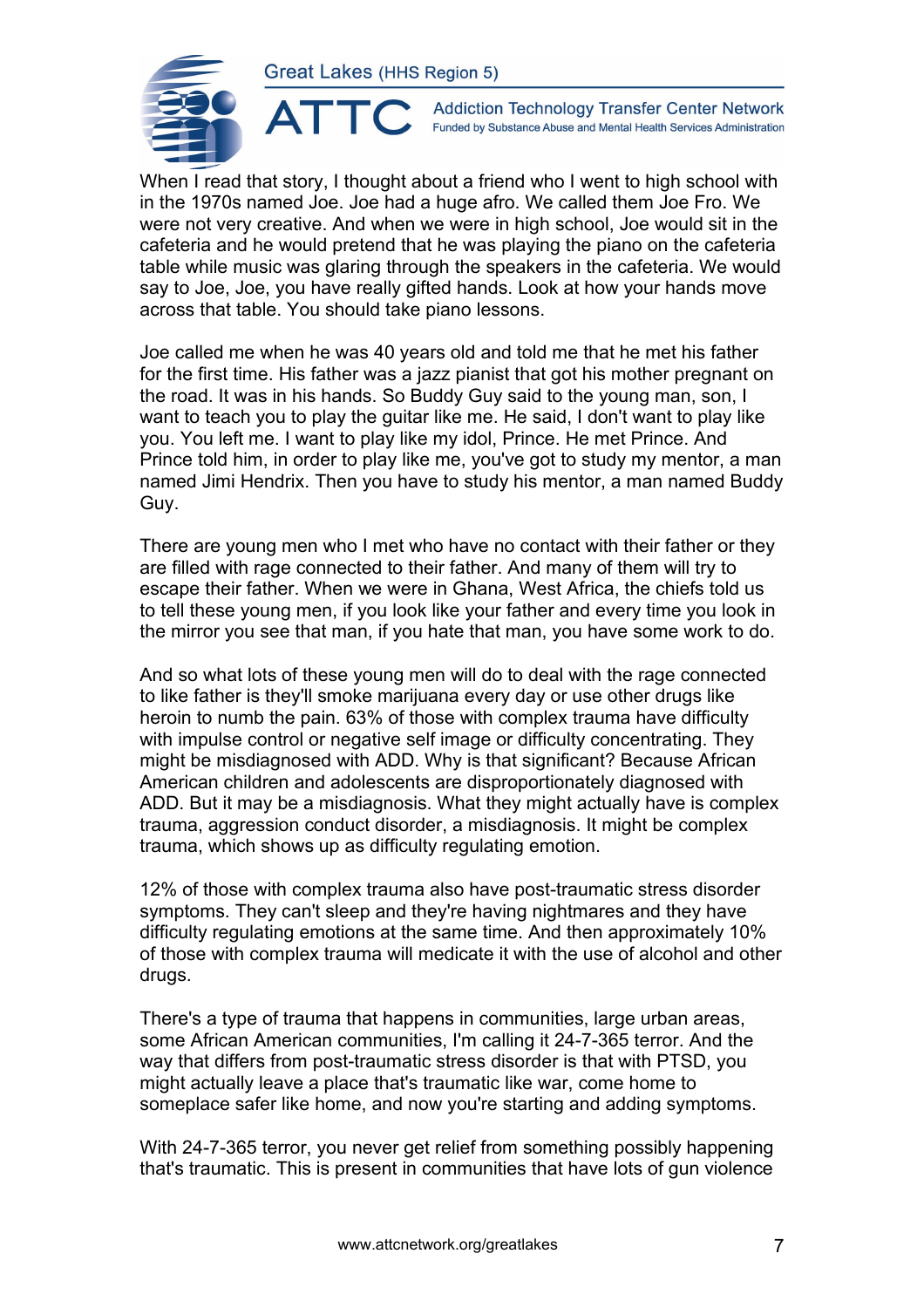

**Addiction Technology Transfer Center Network** Funded by Substance Abuse and Mental Health Services Administration

When I read that story, I thought about a friend who I went to high school with in the 1970s named Joe. Joe had a huge afro. We called them Joe Fro. We were not very creative. And when we were in high school, Joe would sit in the cafeteria and he would pretend that he was playing the piano on the cafeteria table while music was glaring through the speakers in the cafeteria. We would say to Joe, Joe, you have really gifted hands. Look at how your hands move across that table. You should take piano lessons.

Joe called me when he was 40 years old and told me that he met his father for the first time. His father was a jazz pianist that got his mother pregnant on the road. It was in his hands. So Buddy Guy said to the young man, son, I want to teach you to play the guitar like me. He said, I don't want to play like you. You left me. I want to play like my idol, Prince. He met Prince. And Prince told him, in order to play like me, you've got to study my mentor, a man named Jimi Hendrix. Then you have to study his mentor, a man named Buddy Guy.

There are young men who I met who have no contact with their father or they are filled with rage connected to their father. And many of them will try to escape their father. When we were in Ghana, West Africa, the chiefs told us to tell these young men, if you look like your father and every time you look in the mirror you see that man, if you hate that man, you have some work to do.

And so what lots of these young men will do to deal with the rage connected to like father is they'll smoke marijuana every day or use other drugs like heroin to numb the pain. 63% of those with complex trauma have difficulty with impulse control or negative self image or difficulty concentrating. They might be misdiagnosed with ADD. Why is that significant? Because African American children and adolescents are disproportionately diagnosed with ADD. But it may be a misdiagnosis. What they might actually have is complex trauma, aggression conduct disorder, a misdiagnosis. It might be complex trauma, which shows up as difficulty regulating emotion.

12% of those with complex trauma also have post-traumatic stress disorder symptoms. They can't sleep and they're having nightmares and they have difficulty regulating emotions at the same time. And then approximately 10% of those with complex trauma will medicate it with the use of alcohol and other drugs.

There's a type of trauma that happens in communities, large urban areas, some African American communities, I'm calling it 24-7-365 terror. And the way that differs from post-traumatic stress disorder is that with PTSD, you might actually leave a place that's traumatic like war, come home to someplace safer like home, and now you're starting and adding symptoms.

With 24-7-365 terror, you never get relief from something possibly happening that's traumatic. This is present in communities that have lots of gun violence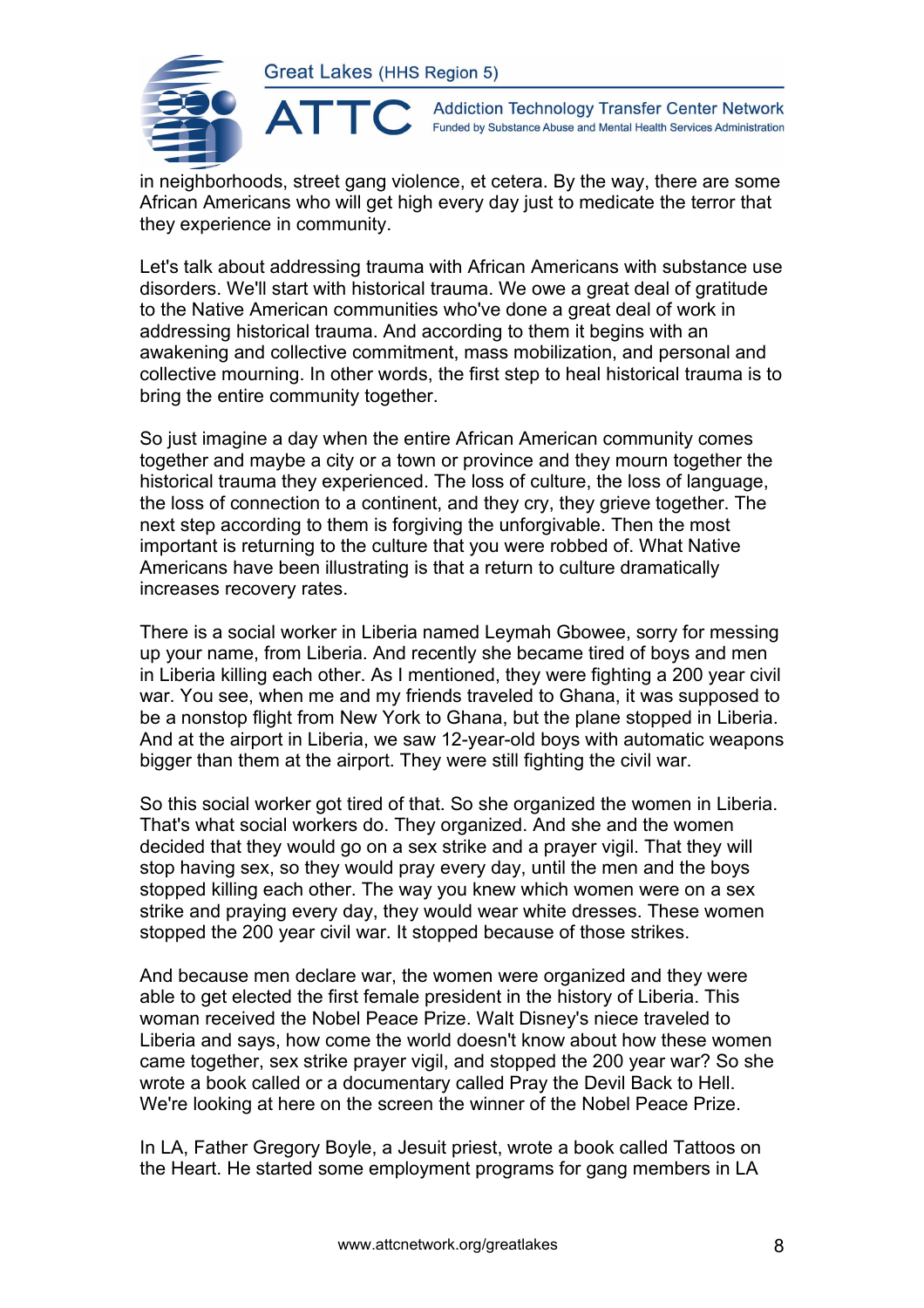

**Addiction Technology Transfer Center Network** Funded by Substance Abuse and Mental Health Services Administration

in neighborhoods, street gang violence, et cetera. By the way, there are some African Americans who will get high every day just to medicate the terror that they experience in community.

Let's talk about addressing trauma with African Americans with substance use disorders. We'll start with historical trauma. We owe a great deal of gratitude to the Native American communities who've done a great deal of work in addressing historical trauma. And according to them it begins with an awakening and collective commitment, mass mobilization, and personal and collective mourning. In other words, the first step to heal historical trauma is to bring the entire community together.

So just imagine a day when the entire African American community comes together and maybe a city or a town or province and they mourn together the historical trauma they experienced. The loss of culture, the loss of language, the loss of connection to a continent, and they cry, they grieve together. The next step according to them is forgiving the unforgivable. Then the most important is returning to the culture that you were robbed of. What Native Americans have been illustrating is that a return to culture dramatically increases recovery rates.

There is a social worker in Liberia named Leymah Gbowee, sorry for messing up your name, from Liberia. And recently she became tired of boys and men in Liberia killing each other. As I mentioned, they were fighting a 200 year civil war. You see, when me and my friends traveled to Ghana, it was supposed to be a nonstop flight from New York to Ghana, but the plane stopped in Liberia. And at the airport in Liberia, we saw 12-year-old boys with automatic weapons bigger than them at the airport. They were still fighting the civil war.

So this social worker got tired of that. So she organized the women in Liberia. That's what social workers do. They organized. And she and the women decided that they would go on a sex strike and a prayer vigil. That they will stop having sex, so they would pray every day, until the men and the boys stopped killing each other. The way you knew which women were on a sex strike and praying every day, they would wear white dresses. These women stopped the 200 year civil war. It stopped because of those strikes.

And because men declare war, the women were organized and they were able to get elected the first female president in the history of Liberia. This woman received the Nobel Peace Prize. Walt Disney's niece traveled to Liberia and says, how come the world doesn't know about how these women came together, sex strike prayer vigil, and stopped the 200 year war? So she wrote a book called or a documentary called Pray the Devil Back to Hell. We're looking at here on the screen the winner of the Nobel Peace Prize.

In LA, Father Gregory Boyle, a Jesuit priest, wrote a book called Tattoos on the Heart. He started some employment programs for gang members in LA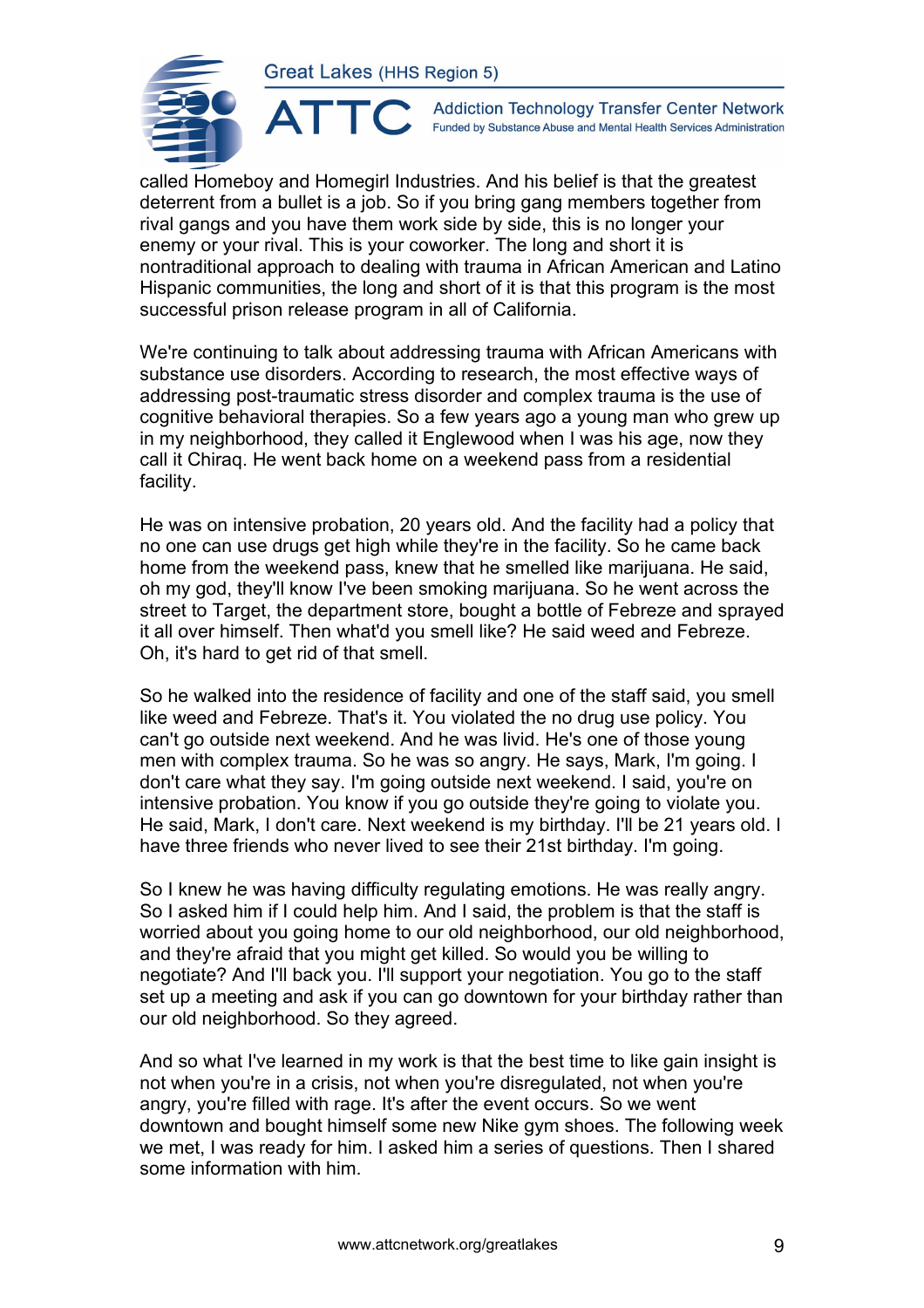

**Addiction Technology Transfer Center Network** Funded by Substance Abuse and Mental Health Services Administration

called Homeboy and Homegirl Industries. And his belief is that the greatest deterrent from a bullet is a job. So if you bring gang members together from rival gangs and you have them work side by side, this is no longer your enemy or your rival. This is your coworker. The long and short it is nontraditional approach to dealing with trauma in African American and Latino Hispanic communities, the long and short of it is that this program is the most successful prison release program in all of California.

We're continuing to talk about addressing trauma with African Americans with substance use disorders. According to research, the most effective ways of addressing post-traumatic stress disorder and complex trauma is the use of cognitive behavioral therapies. So a few years ago a young man who grew up in my neighborhood, they called it Englewood when I was his age, now they call it Chiraq. He went back home on a weekend pass from a residential facility.

He was on intensive probation, 20 years old. And the facility had a policy that no one can use drugs get high while they're in the facility. So he came back home from the weekend pass, knew that he smelled like marijuana. He said, oh my god, they'll know I've been smoking marijuana. So he went across the street to Target, the department store, bought a bottle of Febreze and sprayed it all over himself. Then what'd you smell like? He said weed and Febreze. Oh, it's hard to get rid of that smell.

So he walked into the residence of facility and one of the staff said, you smell like weed and Febreze. That's it. You violated the no drug use policy. You can't go outside next weekend. And he was livid. He's one of those young men with complex trauma. So he was so angry. He says, Mark, I'm going. I don't care what they say. I'm going outside next weekend. I said, you're on intensive probation. You know if you go outside they're going to violate you. He said, Mark, I don't care. Next weekend is my birthday. I'll be 21 years old. I have three friends who never lived to see their 21st birthday. I'm going.

So I knew he was having difficulty regulating emotions. He was really angry. So I asked him if I could help him. And I said, the problem is that the staff is worried about you going home to our old neighborhood, our old neighborhood, and they're afraid that you might get killed. So would you be willing to negotiate? And I'll back you. I'll support your negotiation. You go to the staff set up a meeting and ask if you can go downtown for your birthday rather than our old neighborhood. So they agreed.

And so what I've learned in my work is that the best time to like gain insight is not when you're in a crisis, not when you're disregulated, not when you're angry, you're filled with rage. It's after the event occurs. So we went downtown and bought himself some new Nike gym shoes. The following week we met, I was ready for him. I asked him a series of questions. Then I shared some information with him.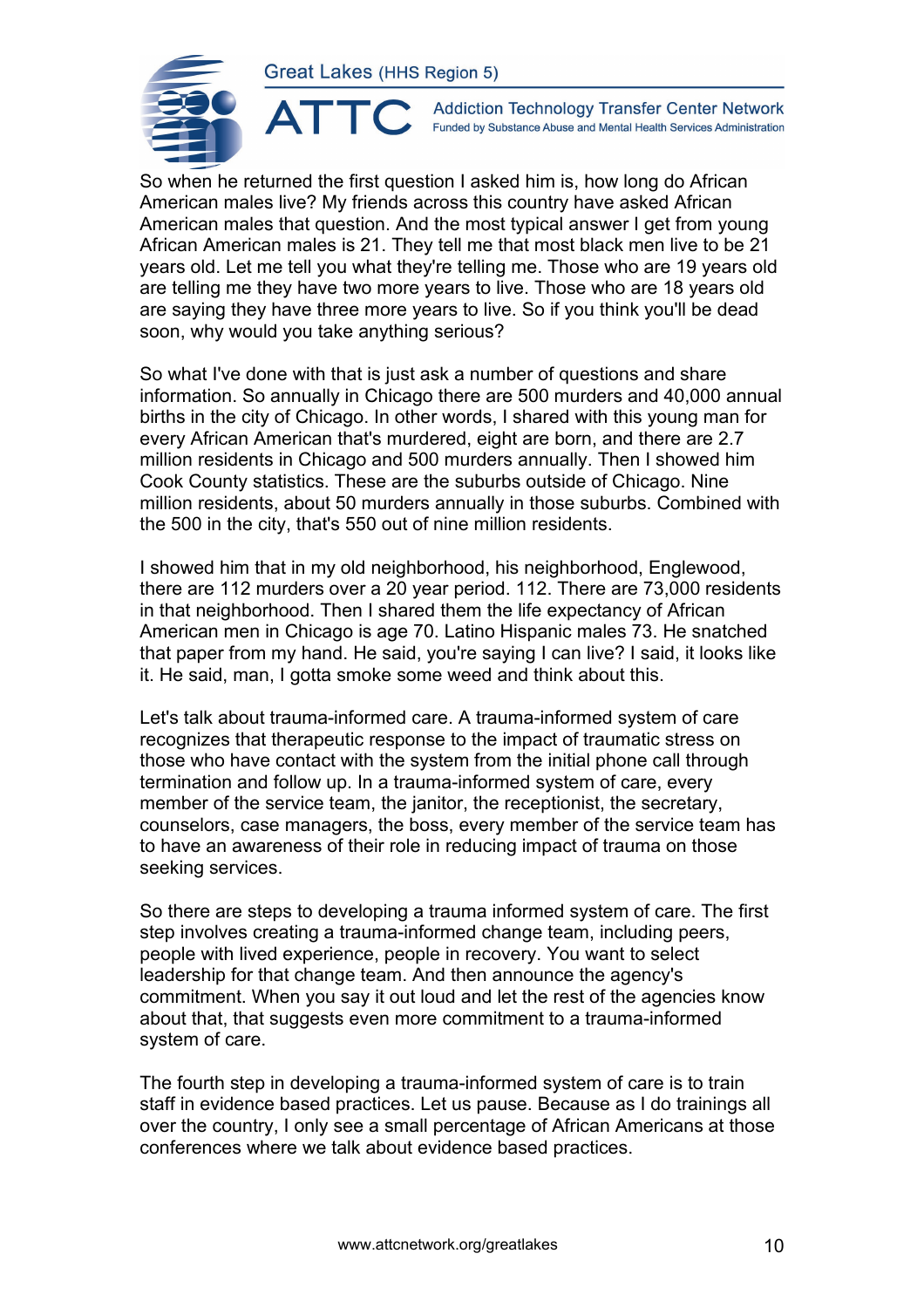ATTO



**Addiction Technology Transfer Center Network** Funded by Substance Abuse and Mental Health Services Administration

So when he returned the first question I asked him is, how long do African American males live? My friends across this country have asked African American males that question. And the most typical answer I get from young African American males is 21. They tell me that most black men live to be 21 years old. Let me tell you what they're telling me. Those who are 19 years old are telling me they have two more years to live. Those who are 18 years old are saying they have three more years to live. So if you think you'll be dead soon, why would you take anything serious?

So what I've done with that is just ask a number of questions and share information. So annually in Chicago there are 500 murders and 40,000 annual births in the city of Chicago. In other words, I shared with this young man for every African American that's murdered, eight are born, and there are 2.7 million residents in Chicago and 500 murders annually. Then I showed him Cook County statistics. These are the suburbs outside of Chicago. Nine million residents, about 50 murders annually in those suburbs. Combined with the 500 in the city, that's 550 out of nine million residents.

I showed him that in my old neighborhood, his neighborhood, Englewood, there are 112 murders over a 20 year period. 112. There are 73,000 residents in that neighborhood. Then I shared them the life expectancy of African American men in Chicago is age 70. Latino Hispanic males 73. He snatched that paper from my hand. He said, you're saying I can live? I said, it looks like it. He said, man, I gotta smoke some weed and think about this.

Let's talk about trauma-informed care. A trauma-informed system of care recognizes that therapeutic response to the impact of traumatic stress on those who have contact with the system from the initial phone call through termination and follow up. In a trauma-informed system of care, every member of the service team, the janitor, the receptionist, the secretary, counselors, case managers, the boss, every member of the service team has to have an awareness of their role in reducing impact of trauma on those seeking services.

So there are steps to developing a trauma informed system of care. The first step involves creating a trauma-informed change team, including peers, people with lived experience, people in recovery. You want to select leadership for that change team. And then announce the agency's commitment. When you say it out loud and let the rest of the agencies know about that, that suggests even more commitment to a trauma-informed system of care.

The fourth step in developing a trauma-informed system of care is to train staff in evidence based practices. Let us pause. Because as I do trainings all over the country, I only see a small percentage of African Americans at those conferences where we talk about evidence based practices.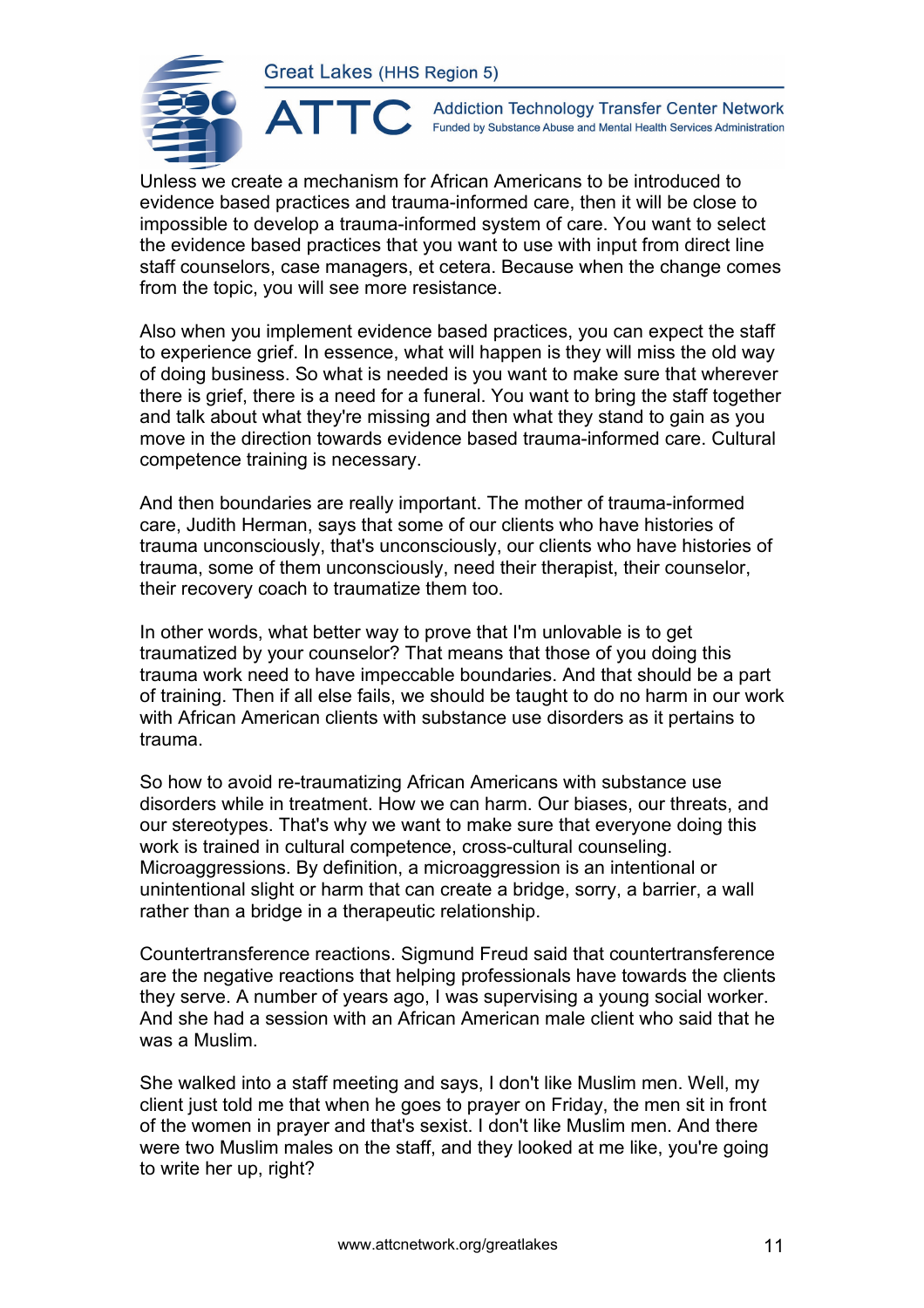ATTO



**Addiction Technology Transfer Center Network** Funded by Substance Abuse and Mental Health Services Administration

Unless we create a mechanism for African Americans to be introduced to evidence based practices and trauma-informed care, then it will be close to impossible to develop a trauma-informed system of care. You want to select the evidence based practices that you want to use with input from direct line staff counselors, case managers, et cetera. Because when the change comes from the topic, you will see more resistance.

Also when you implement evidence based practices, you can expect the staff to experience grief. In essence, what will happen is they will miss the old way of doing business. So what is needed is you want to make sure that wherever there is grief, there is a need for a funeral. You want to bring the staff together and talk about what they're missing and then what they stand to gain as you move in the direction towards evidence based trauma-informed care. Cultural competence training is necessary.

And then boundaries are really important. The mother of trauma-informed care, Judith Herman, says that some of our clients who have histories of trauma unconsciously, that's unconsciously, our clients who have histories of trauma, some of them unconsciously, need their therapist, their counselor, their recovery coach to traumatize them too.

In other words, what better way to prove that I'm unlovable is to get traumatized by your counselor? That means that those of you doing this trauma work need to have impeccable boundaries. And that should be a part of training. Then if all else fails, we should be taught to do no harm in our work with African American clients with substance use disorders as it pertains to trauma.

So how to avoid re-traumatizing African Americans with substance use disorders while in treatment. How we can harm. Our biases, our threats, and our stereotypes. That's why we want to make sure that everyone doing this work is trained in cultural competence, cross-cultural counseling. Microaggressions. By definition, a microaggression is an intentional or unintentional slight or harm that can create a bridge, sorry, a barrier, a wall rather than a bridge in a therapeutic relationship.

Countertransference reactions. Sigmund Freud said that countertransference are the negative reactions that helping professionals have towards the clients they serve. A number of years ago, I was supervising a young social worker. And she had a session with an African American male client who said that he was a Muslim.

She walked into a staff meeting and says, I don't like Muslim men. Well, my client just told me that when he goes to prayer on Friday, the men sit in front of the women in prayer and that's sexist. I don't like Muslim men. And there were two Muslim males on the staff, and they looked at me like, you're going to write her up, right?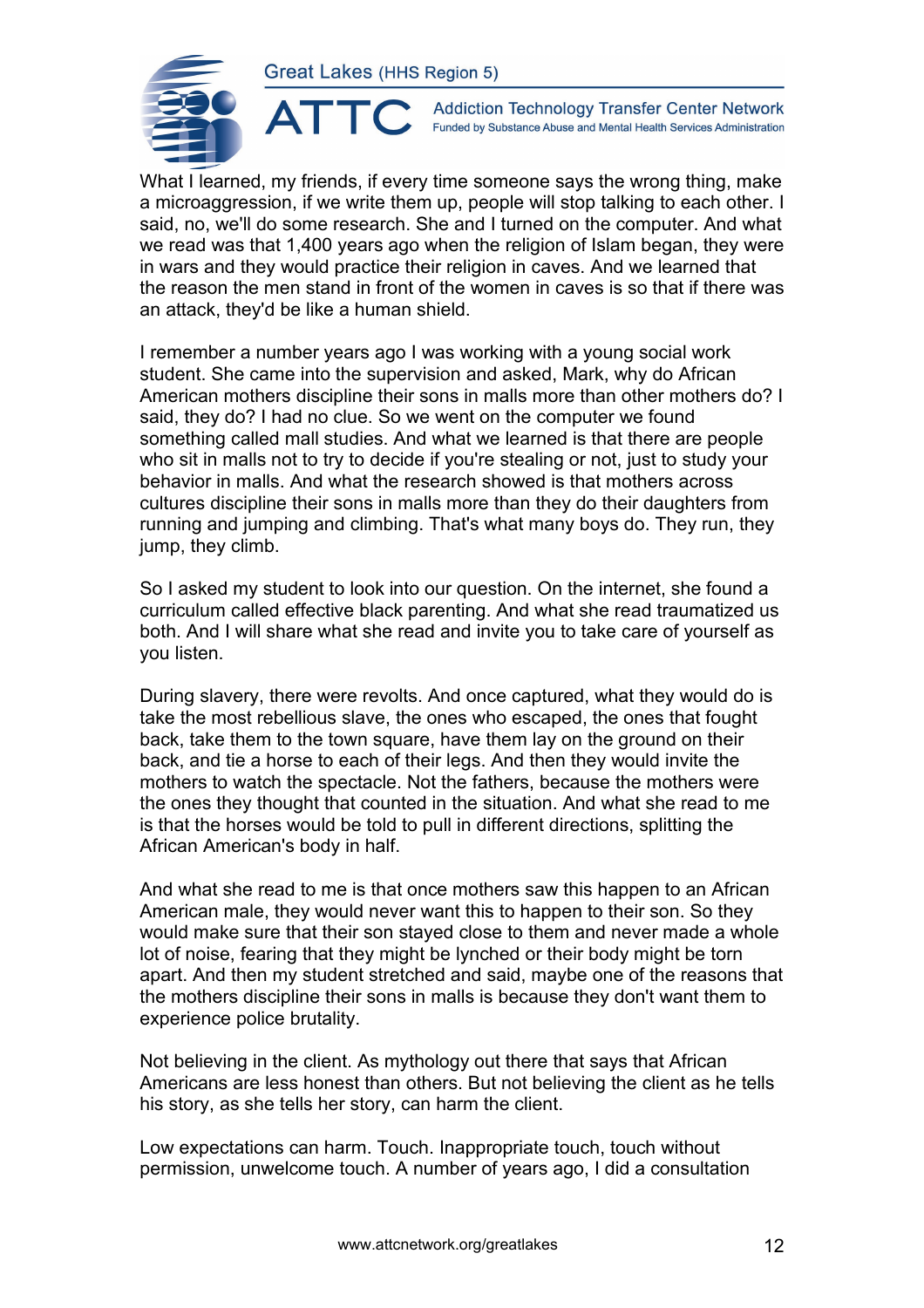

**Addiction Technology Transfer Center Network** Funded by Substance Abuse and Mental Health Services Administration

What I learned, my friends, if every time someone says the wrong thing, make a microaggression, if we write them up, people will stop talking to each other. I said, no, we'll do some research. She and I turned on the computer. And what we read was that 1,400 years ago when the religion of Islam began, they were in wars and they would practice their religion in caves. And we learned that the reason the men stand in front of the women in caves is so that if there was an attack, they'd be like a human shield.

I remember a number years ago I was working with a young social work student. She came into the supervision and asked, Mark, why do African American mothers discipline their sons in malls more than other mothers do? I said, they do? I had no clue. So we went on the computer we found something called mall studies. And what we learned is that there are people who sit in malls not to try to decide if you're stealing or not, just to study your behavior in malls. And what the research showed is that mothers across cultures discipline their sons in malls more than they do their daughters from running and jumping and climbing. That's what many boys do. They run, they jump, they climb.

So I asked my student to look into our question. On the internet, she found a curriculum called effective black parenting. And what she read traumatized us both. And I will share what she read and invite you to take care of yourself as you listen.

During slavery, there were revolts. And once captured, what they would do is take the most rebellious slave, the ones who escaped, the ones that fought back, take them to the town square, have them lay on the ground on their back, and tie a horse to each of their legs. And then they would invite the mothers to watch the spectacle. Not the fathers, because the mothers were the ones they thought that counted in the situation. And what she read to me is that the horses would be told to pull in different directions, splitting the African American's body in half.

And what she read to me is that once mothers saw this happen to an African American male, they would never want this to happen to their son. So they would make sure that their son stayed close to them and never made a whole lot of noise, fearing that they might be lynched or their body might be torn apart. And then my student stretched and said, maybe one of the reasons that the mothers discipline their sons in malls is because they don't want them to experience police brutality.

Not believing in the client. As mythology out there that says that African Americans are less honest than others. But not believing the client as he tells his story, as she tells her story, can harm the client.

Low expectations can harm. Touch. Inappropriate touch, touch without permission, unwelcome touch. A number of years ago, I did a consultation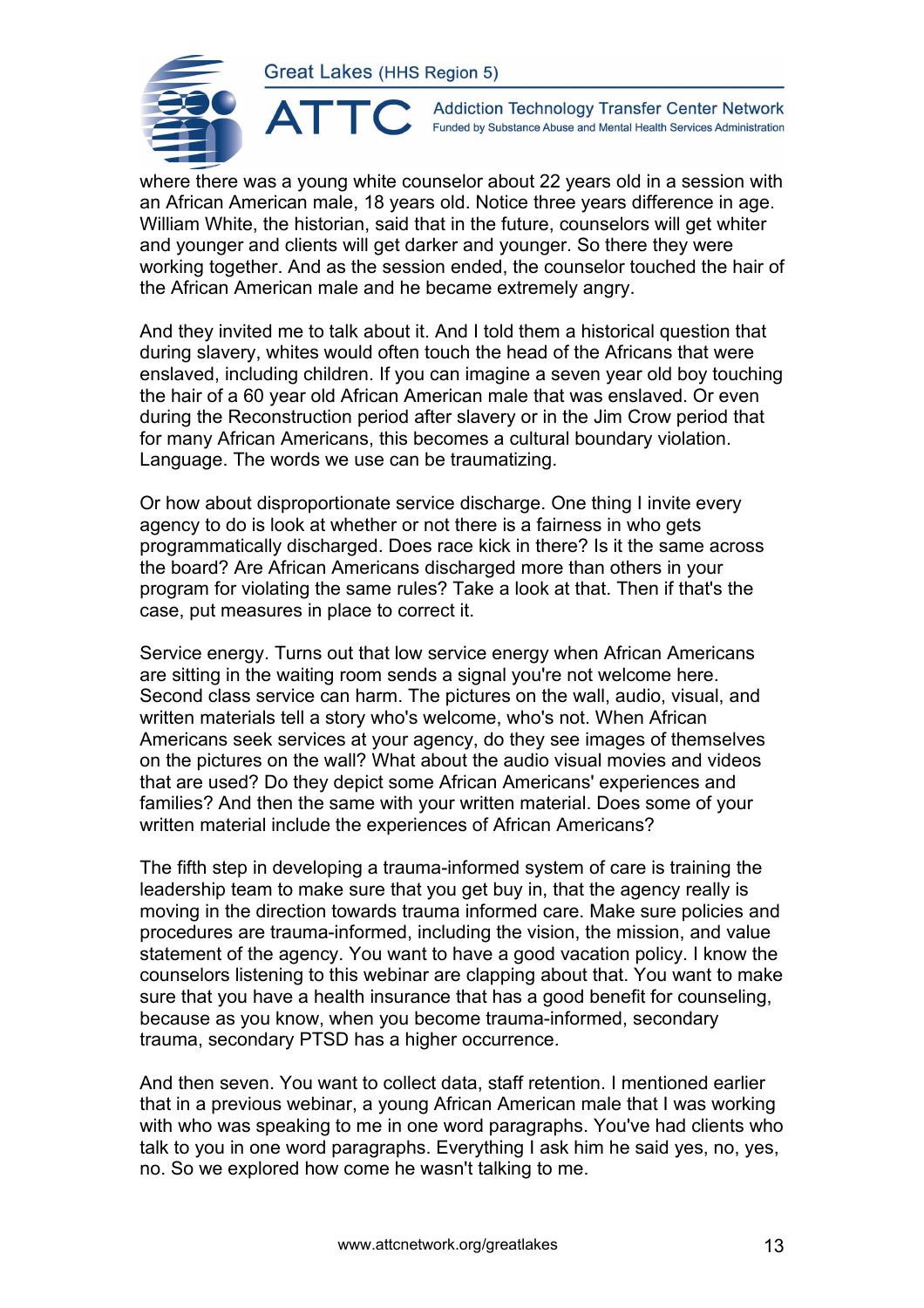

 $\blacktriangle$ 

**Addiction Technology Transfer Center Network** Funded by Substance Abuse and Mental Health Services Administration

where there was a young white counselor about 22 years old in a session with an African American male, 18 years old. Notice three years difference in age. William White, the historian, said that in the future, counselors will get whiter and younger and clients will get darker and younger. So there they were working together. And as the session ended, the counselor touched the hair of the African American male and he became extremely angry.

And they invited me to talk about it. And I told them a historical question that during slavery, whites would often touch the head of the Africans that were enslaved, including children. If you can imagine a seven year old boy touching the hair of a 60 year old African American male that was enslaved. Or even during the Reconstruction period after slavery or in the Jim Crow period that for many African Americans, this becomes a cultural boundary violation. Language. The words we use can be traumatizing.

Or how about disproportionate service discharge. One thing I invite every agency to do is look at whether or not there is a fairness in who gets programmatically discharged. Does race kick in there? Is it the same across the board? Are African Americans discharged more than others in your program for violating the same rules? Take a look at that. Then if that's the case, put measures in place to correct it.

Service energy. Turns out that low service energy when African Americans are sitting in the waiting room sends a signal you're not welcome here. Second class service can harm. The pictures on the wall, audio, visual, and written materials tell a story who's welcome, who's not. When African Americans seek services at your agency, do they see images of themselves on the pictures on the wall? What about the audio visual movies and videos that are used? Do they depict some African Americans' experiences and families? And then the same with your written material. Does some of your written material include the experiences of African Americans?

The fifth step in developing a trauma-informed system of care is training the leadership team to make sure that you get buy in, that the agency really is moving in the direction towards trauma informed care. Make sure policies and procedures are trauma-informed, including the vision, the mission, and value statement of the agency. You want to have a good vacation policy. I know the counselors listening to this webinar are clapping about that. You want to make sure that you have a health insurance that has a good benefit for counseling, because as you know, when you become trauma-informed, secondary trauma, secondary PTSD has a higher occurrence.

And then seven. You want to collect data, staff retention. I mentioned earlier that in a previous webinar, a young African American male that I was working with who was speaking to me in one word paragraphs. You've had clients who talk to you in one word paragraphs. Everything I ask him he said yes, no, yes, no. So we explored how come he wasn't talking to me.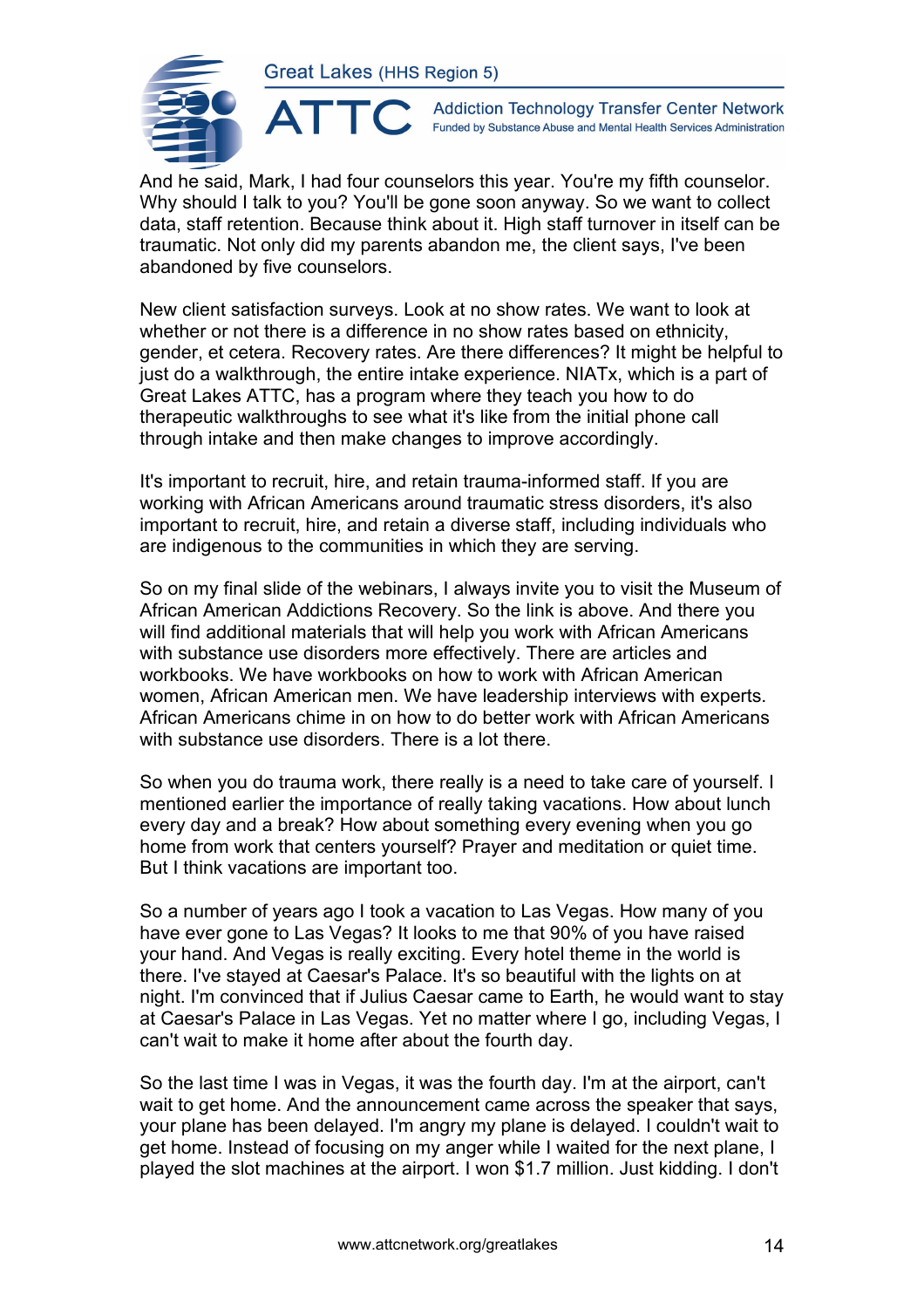ATTC



**Addiction Technology Transfer Center Network** Funded by Substance Abuse and Mental Health Services Administration

And he said, Mark, I had four counselors this year. You're my fifth counselor. Why should I talk to you? You'll be gone soon anyway. So we want to collect data, staff retention. Because think about it. High staff turnover in itself can be traumatic. Not only did my parents abandon me, the client says, I've been abandoned by five counselors.

New client satisfaction surveys. Look at no show rates. We want to look at whether or not there is a difference in no show rates based on ethnicity, gender, et cetera. Recovery rates. Are there differences? It might be helpful to just do a walkthrough, the entire intake experience. NIATx, which is a part of Great Lakes ATTC, has a program where they teach you how to do therapeutic walkthroughs to see what it's like from the initial phone call through intake and then make changes to improve accordingly.

It's important to recruit, hire, and retain trauma-informed staff. If you are working with African Americans around traumatic stress disorders, it's also important to recruit, hire, and retain a diverse staff, including individuals who are indigenous to the communities in which they are serving.

So on my final slide of the webinars, I always invite you to visit the Museum of African American Addictions Recovery. So the link is above. And there you will find additional materials that will help you work with African Americans with substance use disorders more effectively. There are articles and workbooks. We have workbooks on how to work with African American women, African American men. We have leadership interviews with experts. African Americans chime in on how to do better work with African Americans with substance use disorders. There is a lot there.

So when you do trauma work, there really is a need to take care of yourself. I mentioned earlier the importance of really taking vacations. How about lunch every day and a break? How about something every evening when you go home from work that centers yourself? Prayer and meditation or quiet time. But I think vacations are important too.

So a number of years ago I took a vacation to Las Vegas. How many of you have ever gone to Las Vegas? It looks to me that 90% of you have raised your hand. And Vegas is really exciting. Every hotel theme in the world is there. I've stayed at Caesar's Palace. It's so beautiful with the lights on at night. I'm convinced that if Julius Caesar came to Earth, he would want to stay at Caesar's Palace in Las Vegas. Yet no matter where I go, including Vegas, I can't wait to make it home after about the fourth day.

So the last time I was in Vegas, it was the fourth day. I'm at the airport, can't wait to get home. And the announcement came across the speaker that says, your plane has been delayed. I'm angry my plane is delayed. I couldn't wait to get home. Instead of focusing on my anger while I waited for the next plane, I played the slot machines at the airport. I won \$1.7 million. Just kidding. I don't